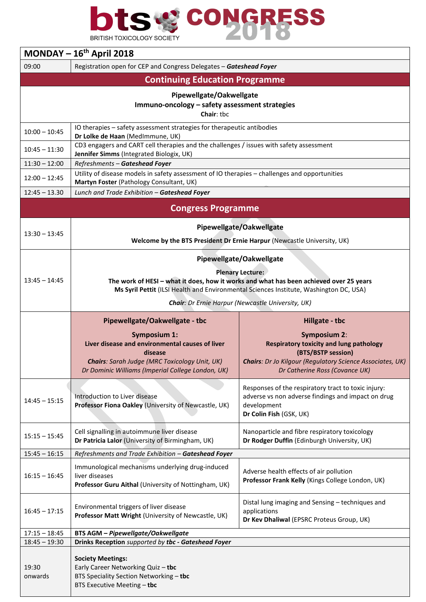

| MONDAY $-16th$ April 2018                                                                |                                                                                                                                                                                                                                         |                                                                                                                                                                                                   |  |  |  |
|------------------------------------------------------------------------------------------|-----------------------------------------------------------------------------------------------------------------------------------------------------------------------------------------------------------------------------------------|---------------------------------------------------------------------------------------------------------------------------------------------------------------------------------------------------|--|--|--|
| 09:00                                                                                    | Registration open for CEP and Congress Delegates - Gateshead Foyer                                                                                                                                                                      |                                                                                                                                                                                                   |  |  |  |
| <b>Continuing Education Programme</b>                                                    |                                                                                                                                                                                                                                         |                                                                                                                                                                                                   |  |  |  |
| Pipewellgate/Oakwellgate<br>Immuno-oncology - safety assessment strategies<br>Chair: tbc |                                                                                                                                                                                                                                         |                                                                                                                                                                                                   |  |  |  |
| $10:00 - 10:45$                                                                          | IO therapies - safety assessment strategies for therapeutic antibodies<br>Dr Lolke de Haan (MedImmune, UK)                                                                                                                              |                                                                                                                                                                                                   |  |  |  |
| $10:45 - 11:30$                                                                          | CD3 engagers and CART cell therapies and the challenges / issues with safety assessment<br>Jennifer Simms (Integrated Biologix, UK)                                                                                                     |                                                                                                                                                                                                   |  |  |  |
| $11:30 - 12:00$                                                                          | Refreshments - Gateshead Foyer                                                                                                                                                                                                          |                                                                                                                                                                                                   |  |  |  |
| $12:00 - 12:45$                                                                          | Utility of disease models in safety assessment of IO therapies - challenges and opportunities<br>Martyn Foster (Pathology Consultant, UK)                                                                                               |                                                                                                                                                                                                   |  |  |  |
| $12:45 - 13.30$                                                                          | Lunch and Trade Exhibition - Gateshead Foyer                                                                                                                                                                                            |                                                                                                                                                                                                   |  |  |  |
| <b>Congress Programme</b>                                                                |                                                                                                                                                                                                                                         |                                                                                                                                                                                                   |  |  |  |
| $13:30 - 13:45$                                                                          | Pipewellgate/Oakwellgate<br>Welcome by the BTS President Dr Ernie Harpur (Newcastle University, UK)                                                                                                                                     |                                                                                                                                                                                                   |  |  |  |
| $13:45 - 14:45$                                                                          | Pipewellgate/Oakwellgate<br><b>Plenary Lecture:</b><br>The work of HESI - what it does, how it works and what has been achieved over 25 years<br>Ms Syril Pettit (ILSI Health and Environmental Sciences Institute, Washington DC, USA) |                                                                                                                                                                                                   |  |  |  |
|                                                                                          | Chair: Dr Ernie Harpur (Newcastle University, UK)                                                                                                                                                                                       |                                                                                                                                                                                                   |  |  |  |
|                                                                                          | Pipewellgate/Oakwellgate - tbc<br>Hillgate - tbc                                                                                                                                                                                        |                                                                                                                                                                                                   |  |  |  |
|                                                                                          | <b>Symposium 1:</b><br>Liver disease and environmental causes of liver<br>disease<br><b>Chairs:</b> Sarah Judge (MRC Toxicology Unit, UK)<br>Dr Dominic Williams (Imperial College London, UK)                                          | <b>Symposium 2:</b><br><b>Respiratory toxicity and lung pathology</b><br>(BTS/BSTP session)<br><b>Chairs:</b> Dr Jo Kilgour (Regulatory Science Associates, UK)<br>Dr Catherine Ross (Covance UK) |  |  |  |
| $14:45 - 15:15$                                                                          | Introduction to Liver disease<br>Professor Fiona Oakley (University of Newcastle, UK)                                                                                                                                                   | Responses of the respiratory tract to toxic injury:<br>adverse vs non adverse findings and impact on drug<br>development<br>Dr Colin Fish (GSK, UK)                                               |  |  |  |
| $15:15 - 15:45$                                                                          | Cell signalling in autoimmune liver disease<br>Dr Patricia Lalor (University of Birmingham, UK)                                                                                                                                         | Nanoparticle and fibre respiratory toxicology<br>Dr Rodger Duffin (Edinburgh University, UK)                                                                                                      |  |  |  |
| $15:45 - 16:15$                                                                          | Refreshments and Trade Exhibition - Gateshead Foyer                                                                                                                                                                                     |                                                                                                                                                                                                   |  |  |  |
| $16:15 - 16:45$                                                                          | Immunological mechanisms underlying drug-induced<br>liver diseases<br>Professor Guru Aithal (University of Nottingham, UK)                                                                                                              | Adverse health effects of air pollution<br>Professor Frank Kelly (Kings College London, UK)                                                                                                       |  |  |  |
| $16:45 - 17:15$                                                                          | Environmental triggers of liver disease<br>Professor Matt Wright (University of Newcastle, UK)                                                                                                                                          | Distal lung imaging and Sensing - techniques and<br>applications<br>Dr Kev Dhaliwal (EPSRC Proteus Group, UK)                                                                                     |  |  |  |
| $17:15 - 18:45$                                                                          | <b>BTS AGM - Pipewellgate/Oakwellgate</b>                                                                                                                                                                                               |                                                                                                                                                                                                   |  |  |  |
| $18:45 - 19:30$                                                                          | Drinks Reception supported by tbc - Gateshead Foyer                                                                                                                                                                                     |                                                                                                                                                                                                   |  |  |  |
| 19:30<br>onwards                                                                         | <b>Society Meetings:</b><br>Early Career Networking Quiz - tbc<br>BTS Speciality Section Networking - tbc<br>BTS Executive Meeting - tbc                                                                                                |                                                                                                                                                                                                   |  |  |  |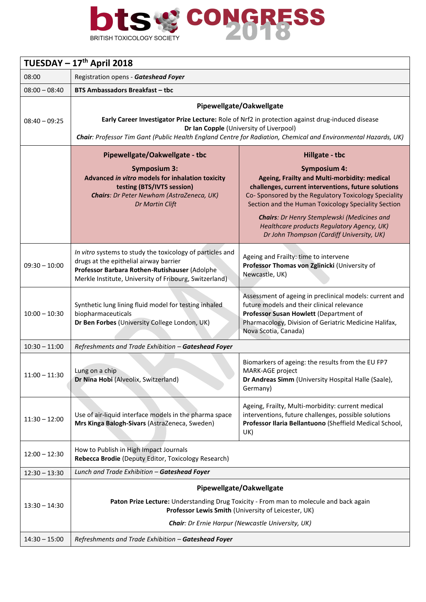

| TUESDAY - 17 <sup>th</sup> April 2018 |                                                                                                                                                                                                                                                                                           |                                                                                                                                                                                                                                                                                                                                                                                                       |  |  |
|---------------------------------------|-------------------------------------------------------------------------------------------------------------------------------------------------------------------------------------------------------------------------------------------------------------------------------------------|-------------------------------------------------------------------------------------------------------------------------------------------------------------------------------------------------------------------------------------------------------------------------------------------------------------------------------------------------------------------------------------------------------|--|--|
| 08:00                                 | Registration opens - Gateshead Foyer                                                                                                                                                                                                                                                      |                                                                                                                                                                                                                                                                                                                                                                                                       |  |  |
| $08:00 - 08:40$                       | <b>BTS Ambassadors Breakfast - tbc</b>                                                                                                                                                                                                                                                    |                                                                                                                                                                                                                                                                                                                                                                                                       |  |  |
| $08:40 - 09:25$                       | Pipewellgate/Oakwellgate<br>Early Career Investigator Prize Lecture: Role of Nrf2 in protection against drug-induced disease<br>Dr Ian Copple (University of Liverpool)<br>Chair: Professor Tim Gant (Public Health England Centre for Radiation, Chemical and Environmental Hazards, UK) |                                                                                                                                                                                                                                                                                                                                                                                                       |  |  |
|                                       | Pipewellgate/Oakwellgate - tbc<br><b>Symposium 3:</b><br>Advanced in vitro models for inhalation toxicity<br>testing (BTS/IVTS session)<br>Chairs: Dr Peter Newham (AstraZeneca, UK)<br>Dr Martin Clift                                                                                   | Hillgate - tbc<br><b>Symposium 4:</b><br>Ageing, Frailty and Multi-morbidity: medical<br>challenges, current interventions, future solutions<br>Co-Sponsored by the Regulatory Toxicology Speciality<br>Section and the Human Toxicology Speciality Section<br>Chairs: Dr Henry Stemplewski (Medicines and<br>Healthcare products Regulatory Agency, UK)<br>Dr John Thompson (Cardiff University, UK) |  |  |
| $09:30 - 10:00$                       | In vitro systems to study the toxicology of particles and<br>drugs at the epithelial airway barrier<br>Professor Barbara Rothen-Rutishauser (Adolphe<br>Merkle Institute, University of Fribourg, Switzerland)                                                                            | Ageing and Frailty: time to intervene<br>Professor Thomas von Zglinicki (University of<br>Newcastle, UK)                                                                                                                                                                                                                                                                                              |  |  |
| $10:00 - 10:30$                       | Synthetic lung lining fluid model for testing inhaled<br>biopharmaceuticals<br>Dr Ben Forbes (University College London, UK)                                                                                                                                                              | Assessment of ageing in preclinical models: current and<br>future models and their clinical relevance<br>Professor Susan Howlett (Department of<br>Pharmacology, Division of Geriatric Medicine Halifax,<br>Nova Scotia, Canada)                                                                                                                                                                      |  |  |
| $10:30 - 11:00$                       | Refreshments and Trade Exhibition - Gateshead Foyer                                                                                                                                                                                                                                       |                                                                                                                                                                                                                                                                                                                                                                                                       |  |  |
| $11:00 - 11:30$                       | Lung on a chip<br>Dr Nina Hobi (Alveolix, Switzerland)                                                                                                                                                                                                                                    | Biomarkers of ageing: the results from the EU FP7<br>MARK-AGE project<br>Dr Andreas Simm (University Hospital Halle (Saale),<br>Germany)                                                                                                                                                                                                                                                              |  |  |
| $11:30 - 12:00$                       | Use of air-liquid interface models in the pharma space<br>Mrs Kinga Balogh-Sivars (AstraZeneca, Sweden)                                                                                                                                                                                   | Ageing, Frailty, Multi-morbidity: current medical<br>interventions, future challenges, possible solutions<br>Professor Ilaria Bellantuono (Sheffield Medical School,<br>UK)                                                                                                                                                                                                                           |  |  |
| $12:00 - 12:30$                       | How to Publish in High Impact Journals<br>Rebecca Brodie (Deputy Editor, Toxicology Research)                                                                                                                                                                                             |                                                                                                                                                                                                                                                                                                                                                                                                       |  |  |
| $12:30 - 13:30$                       | Lunch and Trade Exhibition - Gateshead Foyer                                                                                                                                                                                                                                              |                                                                                                                                                                                                                                                                                                                                                                                                       |  |  |
| $13:30 - 14:30$                       | Pipewellgate/Oakwellgate<br>Paton Prize Lecture: Understanding Drug Toxicity - From man to molecule and back again<br>Professor Lewis Smith (University of Leicester, UK)<br><b>Chair:</b> Dr Ernie Harpur (Newcastle University, UK)                                                     |                                                                                                                                                                                                                                                                                                                                                                                                       |  |  |
| $14:30 - 15:00$                       | Refreshments and Trade Exhibition - Gateshead Foyer                                                                                                                                                                                                                                       |                                                                                                                                                                                                                                                                                                                                                                                                       |  |  |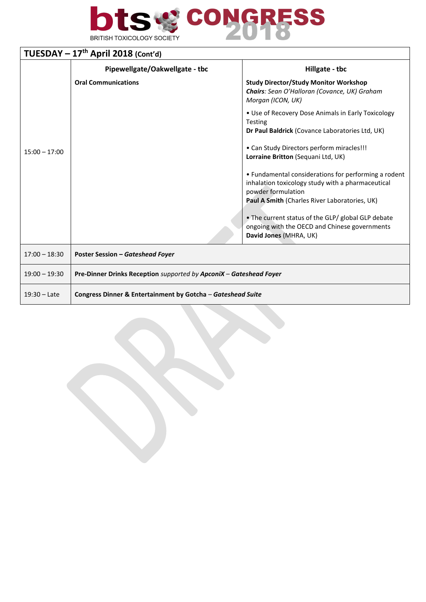

| TUESDAY $-17th$ April 2018 (Cont'd) |                                                                    |                                                                                                                                                                                |  |  |
|-------------------------------------|--------------------------------------------------------------------|--------------------------------------------------------------------------------------------------------------------------------------------------------------------------------|--|--|
|                                     | Pipewellgate/Oakwellgate - tbc                                     | Hillgate - tbc                                                                                                                                                                 |  |  |
| $15:00 - 17:00$                     | <b>Oral Communications</b>                                         | <b>Study Director/Study Monitor Workshop</b><br>Chairs: Sean O'Halloran (Covance, UK) Graham<br>Morgan (ICON, UK)                                                              |  |  |
|                                     |                                                                    | • Use of Recovery Dose Animals in Early Toxicology<br><b>Testing</b><br>Dr Paul Baldrick (Covance Laboratories Ltd, UK)                                                        |  |  |
|                                     |                                                                    | • Can Study Directors perform miracles!!!<br>Lorraine Britton (Sequani Ltd, UK)                                                                                                |  |  |
|                                     |                                                                    | • Fundamental considerations for performing a rodent<br>inhalation toxicology study with a pharmaceutical<br>powder formulation                                                |  |  |
|                                     |                                                                    | Paul A Smith (Charles River Laboratories, UK)<br>• The current status of the GLP/ global GLP debate<br>ongoing with the OECD and Chinese governments<br>David Jones (MHRA, UK) |  |  |
| $17:00 - 18:30$                     | <b>Poster Session - Gateshead Foyer</b>                            |                                                                                                                                                                                |  |  |
| $19:00 - 19:30$                     | Pre-Dinner Drinks Reception supported by ApconiX - Gateshead Foyer |                                                                                                                                                                                |  |  |
| $19:30 -$ Late                      | Congress Dinner & Entertainment by Gotcha - Gateshead Suite        |                                                                                                                                                                                |  |  |